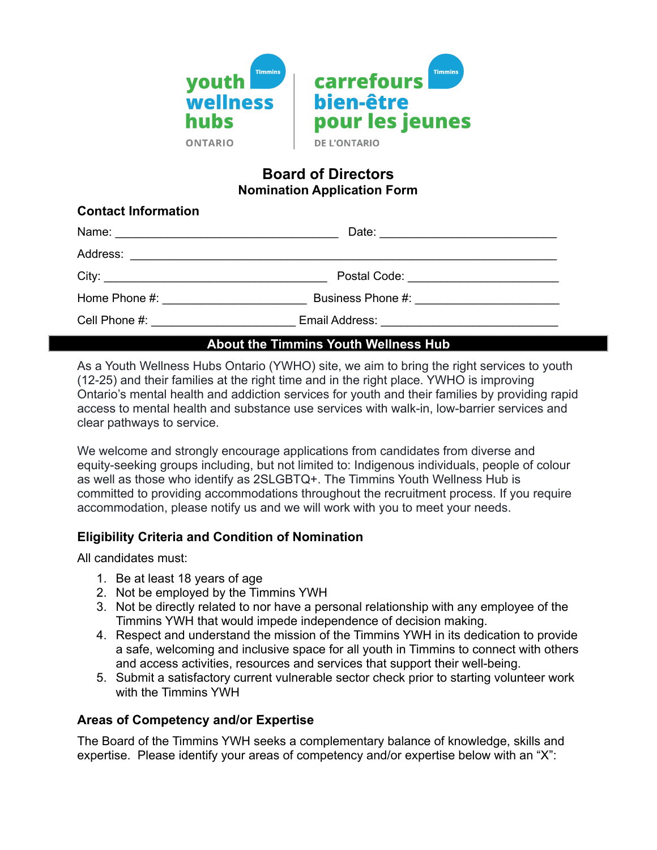

#### **Board of Directors Nomination Application Form**

| <b>Contact Information</b>      |                                           |  |  |
|---------------------------------|-------------------------------------------|--|--|
|                                 |                                           |  |  |
|                                 |                                           |  |  |
|                                 | Postal Code: ____________________________ |  |  |
| Home Phone #: New York Phone #: |                                           |  |  |
|                                 |                                           |  |  |

### **About the Timmins Youth Wellness Hub**

As a Youth Wellness Hubs Ontario (YWHO) site, we aim to bring the right services to youth (12-25) and their families at the right time and in the right place. YWHO is improving Ontario's mental health and addiction services for youth and their families by providing rapid access to mental health and substance use services with walk-in, low-barrier services and clear pathways to service.

We welcome and strongly encourage applications from candidates from diverse and equity-seeking groups including, but not limited to: Indigenous individuals, people of colour as well as those who identify as 2SLGBTQ+. The Timmins Youth Wellness Hub is committed to providing accommodations throughout the recruitment process. If you require accommodation, please notify us and we will work with you to meet your needs.

#### **Eligibility Criteria and Condition of Nomination**

All candidates must:

- 1. Be at least 18 years of age
- 2. Not be employed by the Timmins YWH
- 3. Not be directly related to nor have a personal relationship with any employee of the Timmins YWH that would impede independence of decision making.
- 4. Respect and understand the mission of the Timmins YWH in its dedication to provide a safe, welcoming and inclusive space for all youth in Timmins to connect with others and access activities, resources and services that support their well-being.
- 5. Submit a satisfactory current vulnerable sector check prior to starting volunteer work with the Timmins YWH

#### **Areas of Competency and/or Expertise**

The Board of the Timmins YWH seeks a complementary balance of knowledge, skills and expertise. Please identify your areas of competency and/or expertise below with an "X":